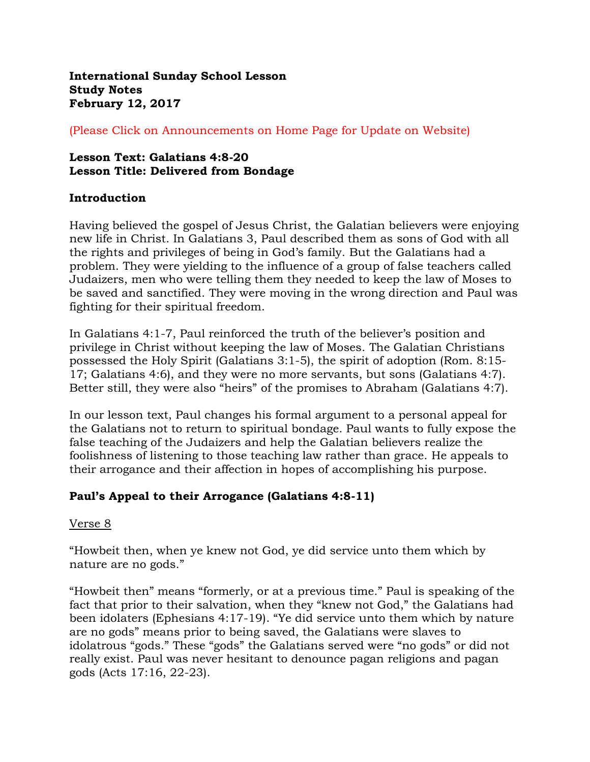(Please Click on Announcements on Home Page for Update on Website)

#### **Lesson Text: Galatians 4:8-20 Lesson Title: Delivered from Bondage**

### **Introduction**

Having believed the gospel of Jesus Christ, the Galatian believers were enjoying new life in Christ. In Galatians 3, Paul described them as sons of God with all the rights and privileges of being in God's family. But the Galatians had a problem. They were yielding to the influence of a group of false teachers called Judaizers, men who were telling them they needed to keep the law of Moses to be saved and sanctified. They were moving in the wrong direction and Paul was fighting for their spiritual freedom.

In Galatians 4:1-7, Paul reinforced the truth of the believer's position and privilege in Christ without keeping the law of Moses. The Galatian Christians possessed the Holy Spirit (Galatians 3:1-5), the spirit of adoption (Rom. 8:15- 17; Galatians 4:6), and they were no more servants, but sons (Galatians 4:7). Better still, they were also "heirs" of the promises to Abraham (Galatians 4:7).

In our lesson text, Paul changes his formal argument to a personal appeal for the Galatians not to return to spiritual bondage. Paul wants to fully expose the false teaching of the Judaizers and help the Galatian believers realize the foolishness of listening to those teaching law rather than grace. He appeals to their arrogance and their affection in hopes of accomplishing his purpose.

# **Paul's Appeal to their Arrogance (Galatians 4:8-11)**

### Verse 8

"Howbeit then, when ye knew not God, ye did service unto them which by nature are no gods."

"Howbeit then" means "formerly, or at a previous time." Paul is speaking of the fact that prior to their salvation, when they "knew not God," the Galatians had been idolaters (Ephesians 4:17-19). "Ye did service unto them which by nature are no gods" means prior to being saved, the Galatians were slaves to idolatrous "gods." These "gods" the Galatians served were "no gods" or did not really exist. Paul was never hesitant to denounce pagan religions and pagan gods (Acts 17:16, 22-23).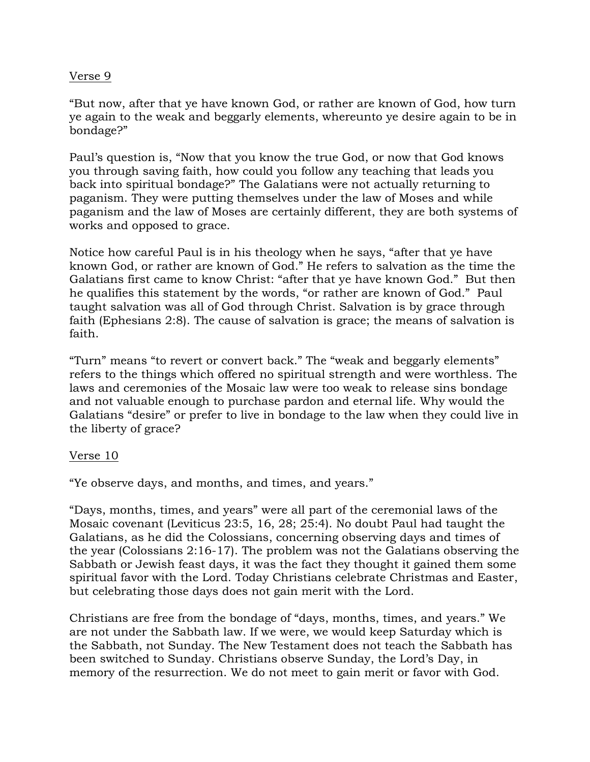### Verse 9

"But now, after that ye have known God, or rather are known of God, how turn ye again to the weak and beggarly elements, whereunto ye desire again to be in bondage?"

Paul's question is, "Now that you know the true God, or now that God knows you through saving faith, how could you follow any teaching that leads you back into spiritual bondage?" The Galatians were not actually returning to paganism. They were putting themselves under the law of Moses and while paganism and the law of Moses are certainly different, they are both systems of works and opposed to grace.

Notice how careful Paul is in his theology when he says, "after that ye have known God, or rather are known of God." He refers to salvation as the time the Galatians first came to know Christ: "after that ye have known God." But then he qualifies this statement by the words, "or rather are known of God." Paul taught salvation was all of God through Christ. Salvation is by grace through faith (Ephesians 2:8). The cause of salvation is grace; the means of salvation is faith.

"Turn" means "to revert or convert back." The "weak and beggarly elements" refers to the things which offered no spiritual strength and were worthless. The laws and ceremonies of the Mosaic law were too weak to release sins bondage and not valuable enough to purchase pardon and eternal life. Why would the Galatians "desire" or prefer to live in bondage to the law when they could live in the liberty of grace?

### Verse 10

"Ye observe days, and months, and times, and years."

"Days, months, times, and years" were all part of the ceremonial laws of the Mosaic covenant (Leviticus 23:5, 16, 28; 25:4). No doubt Paul had taught the Galatians, as he did the Colossians, concerning observing days and times of the year (Colossians 2:16-17). The problem was not the Galatians observing the Sabbath or Jewish feast days, it was the fact they thought it gained them some spiritual favor with the Lord. Today Christians celebrate Christmas and Easter, but celebrating those days does not gain merit with the Lord.

Christians are free from the bondage of "days, months, times, and years." We are not under the Sabbath law. If we were, we would keep Saturday which is the Sabbath, not Sunday. The New Testament does not teach the Sabbath has been switched to Sunday. Christians observe Sunday, the Lord's Day, in memory of the resurrection. We do not meet to gain merit or favor with God.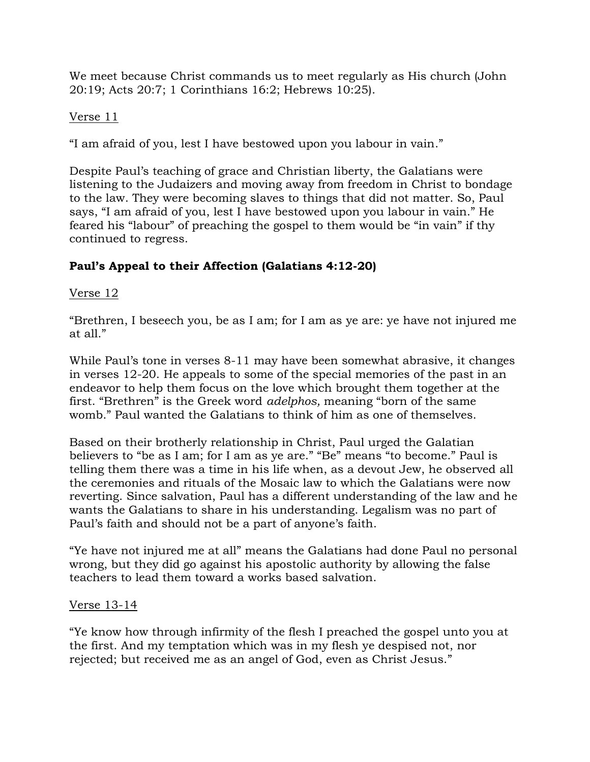We meet because Christ commands us to meet regularly as His church (John 20:19; Acts 20:7; 1 Corinthians 16:2; Hebrews 10:25).

### Verse 11

"I am afraid of you, lest I have bestowed upon you labour in vain."

Despite Paul's teaching of grace and Christian liberty, the Galatians were listening to the Judaizers and moving away from freedom in Christ to bondage to the law. They were becoming slaves to things that did not matter. So, Paul says, "I am afraid of you, lest I have bestowed upon you labour in vain." He feared his "labour" of preaching the gospel to them would be "in vain" if thy continued to regress.

# **Paul's Appeal to their Affection (Galatians 4:12-20)**

### Verse 12

"Brethren, I beseech you, be as I am; for I am as ye are: ye have not injured me at all."

While Paul's tone in verses 8-11 may have been somewhat abrasive, it changes in verses 12-20. He appeals to some of the special memories of the past in an endeavor to help them focus on the love which brought them together at the first. "Brethren" is the Greek word *adelphos,* meaning "born of the same womb." Paul wanted the Galatians to think of him as one of themselves.

Based on their brotherly relationship in Christ, Paul urged the Galatian believers to "be as I am; for I am as ye are." "Be" means "to become." Paul is telling them there was a time in his life when, as a devout Jew, he observed all the ceremonies and rituals of the Mosaic law to which the Galatians were now reverting. Since salvation, Paul has a different understanding of the law and he wants the Galatians to share in his understanding. Legalism was no part of Paul's faith and should not be a part of anyone's faith.

"Ye have not injured me at all" means the Galatians had done Paul no personal wrong, but they did go against his apostolic authority by allowing the false teachers to lead them toward a works based salvation.

### Verse 13-14

"Ye know how through infirmity of the flesh I preached the gospel unto you at the first. And my temptation which was in my flesh ye despised not, nor rejected; but received me as an angel of God, even as Christ Jesus."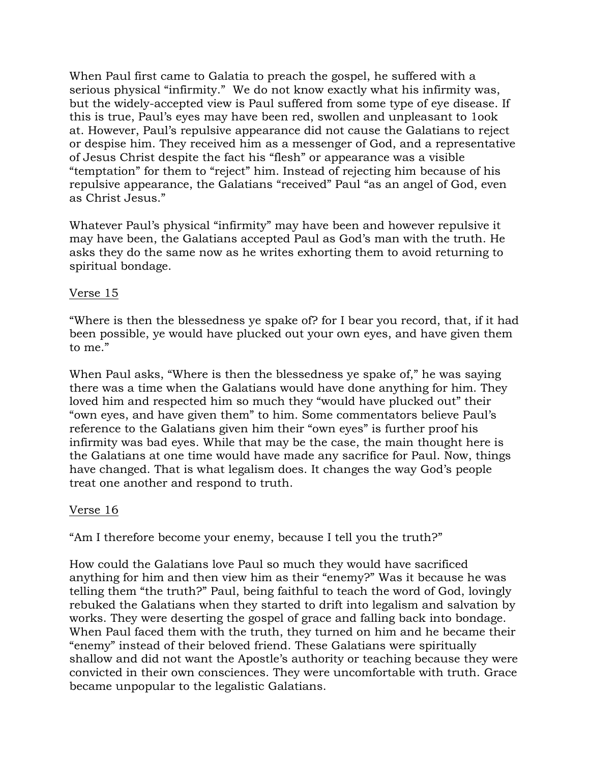When Paul first came to Galatia to preach the gospel, he suffered with a serious physical "infirmity." We do not know exactly what his infirmity was, but the widely-accepted view is Paul suffered from some type of eye disease. If this is true, Paul's eyes may have been red, swollen and unpleasant to 1ook at. However, Paul's repulsive appearance did not cause the Galatians to reject or despise him. They received him as a messenger of God, and a representative of Jesus Christ despite the fact his "flesh" or appearance was a visible "temptation" for them to "reject" him. Instead of rejecting him because of his repulsive appearance, the Galatians "received" Paul "as an angel of God, even as Christ Jesus."

Whatever Paul's physical "infirmity" may have been and however repulsive it may have been, the Galatians accepted Paul as God's man with the truth. He asks they do the same now as he writes exhorting them to avoid returning to spiritual bondage.

### Verse 15

"Where is then the blessedness ye spake of? for I bear you record, that, if it had been possible, ye would have plucked out your own eyes, and have given them to me."

When Paul asks, "Where is then the blessedness ye spake of," he was saying there was a time when the Galatians would have done anything for him. They loved him and respected him so much they "would have plucked out" their "own eyes, and have given them" to him. Some commentators believe Paul's reference to the Galatians given him their "own eyes" is further proof his infirmity was bad eyes. While that may be the case, the main thought here is the Galatians at one time would have made any sacrifice for Paul. Now, things have changed. That is what legalism does. It changes the way God's people treat one another and respond to truth.

### Verse 16

"Am I therefore become your enemy, because I tell you the truth?"

How could the Galatians love Paul so much they would have sacrificed anything for him and then view him as their "enemy?" Was it because he was telling them "the truth?" Paul, being faithful to teach the word of God, lovingly rebuked the Galatians when they started to drift into legalism and salvation by works. They were deserting the gospel of grace and falling back into bondage. When Paul faced them with the truth, they turned on him and he became their "enemy" instead of their beloved friend. These Galatians were spiritually shallow and did not want the Apostle's authority or teaching because they were convicted in their own consciences. They were uncomfortable with truth. Grace became unpopular to the legalistic Galatians.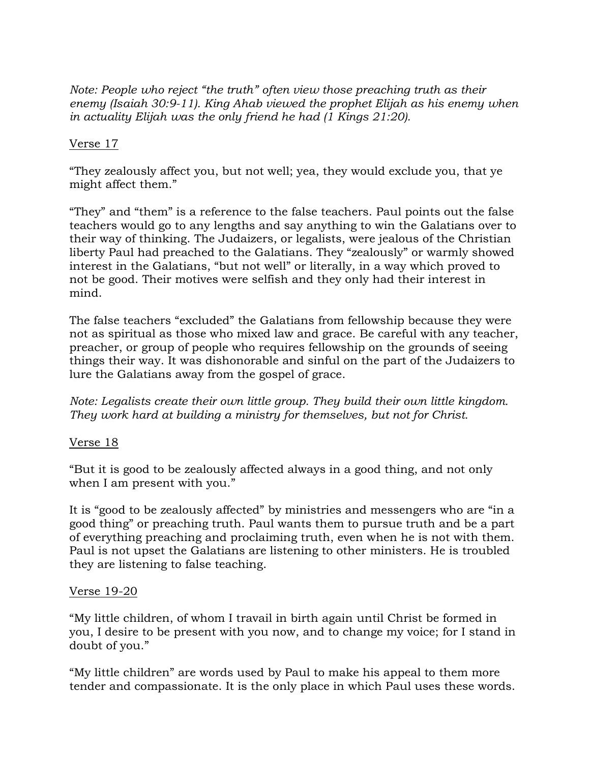*Note: People who reject "the truth" often view those preaching truth as their enemy (Isaiah 30:9-11). King Ahab viewed the prophet Elijah as his enemy when in actuality Elijah was the only friend he had (1 Kings 21:20).* 

### Verse 17

"They zealously affect you, but not well; yea, they would exclude you, that ye might affect them."

"They" and "them" is a reference to the false teachers. Paul points out the false teachers would go to any lengths and say anything to win the Galatians over to their way of thinking. The Judaizers, or legalists, were jealous of the Christian liberty Paul had preached to the Galatians. They "zealously" or warmly showed interest in the Galatians, "but not well" or literally, in a way which proved to not be good. Their motives were selfish and they only had their interest in mind.

The false teachers "excluded" the Galatians from fellowship because they were not as spiritual as those who mixed law and grace. Be careful with any teacher, preacher, or group of people who requires fellowship on the grounds of seeing things their way. It was dishonorable and sinful on the part of the Judaizers to lure the Galatians away from the gospel of grace.

*Note: Legalists create their own little group. They build their own little kingdom. They work hard at building a ministry for themselves, but not for Christ.* 

### Verse 18

"But it is good to be zealously affected always in a good thing, and not only when I am present with you."

It is "good to be zealously affected" by ministries and messengers who are "in a good thing" or preaching truth. Paul wants them to pursue truth and be a part of everything preaching and proclaiming truth, even when he is not with them. Paul is not upset the Galatians are listening to other ministers. He is troubled they are listening to false teaching.

### Verse 19-20

"My little children, of whom I travail in birth again until Christ be formed in you, I desire to be present with you now, and to change my voice; for I stand in doubt of you."

"My little children" are words used by Paul to make his appeal to them more tender and compassionate. It is the only place in which Paul uses these words.